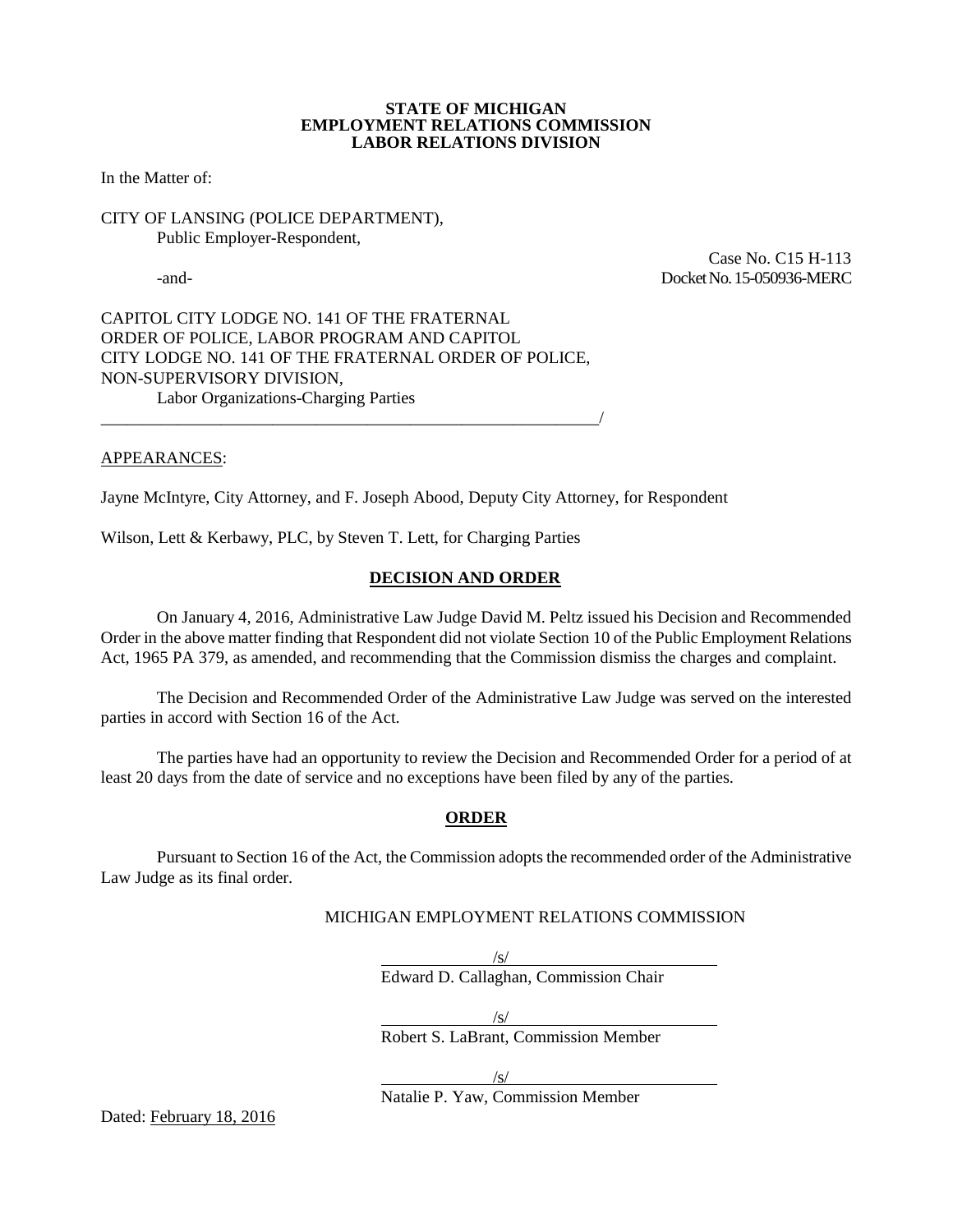#### **STATE OF MICHIGAN EMPLOYMENT RELATIONS COMMISSION LABOR RELATIONS DIVISION**

In the Matter of:

## CITY OF LANSING (POLICE DEPARTMENT), Public Employer-Respondent,

 Case No. C15 H-113 -and- Docket No. 15-050936-MERC

CAPITOL CITY LODGE NO. 141 OF THE FRATERNAL ORDER OF POLICE, LABOR PROGRAM AND CAPITOL CITY LODGE NO. 141 OF THE FRATERNAL ORDER OF POLICE, NON-SUPERVISORY DIVISION, Labor Organizations-Charging Parties

\_\_\_\_\_\_\_\_\_\_\_\_\_\_\_\_\_\_\_\_\_\_\_\_\_\_\_\_\_\_\_\_\_\_\_\_\_\_\_\_\_\_\_\_\_\_\_\_\_\_\_\_\_\_\_\_\_\_/

## APPEARANCES:

Jayne McIntyre, City Attorney, and F. Joseph Abood, Deputy City Attorney, for Respondent

Wilson, Lett & Kerbawy, PLC, by Steven T. Lett, for Charging Parties

## **DECISION AND ORDER**

On January 4, 2016, Administrative Law Judge David M. Peltz issued his Decision and Recommended Order in the above matter finding that Respondent did not violate Section 10 of the Public Employment Relations Act, 1965 PA 379, as amended, and recommending that the Commission dismiss the charges and complaint.

The Decision and Recommended Order of the Administrative Law Judge was served on the interested parties in accord with Section 16 of the Act.

The parties have had an opportunity to review the Decision and Recommended Order for a period of at least 20 days from the date of service and no exceptions have been filed by any of the parties.

#### **ORDER**

Pursuant to Section 16 of the Act, the Commission adopts the recommended order of the Administrative Law Judge as its final order.

## MICHIGAN EMPLOYMENT RELATIONS COMMISSION

Edward D. Callaghan, Commission Chair

/s/

 $\sqrt{s/}$ 

Robert S. LaBrant, Commission Member

/s/

Natalie P. Yaw, Commission Member

Dated: February 18, 2016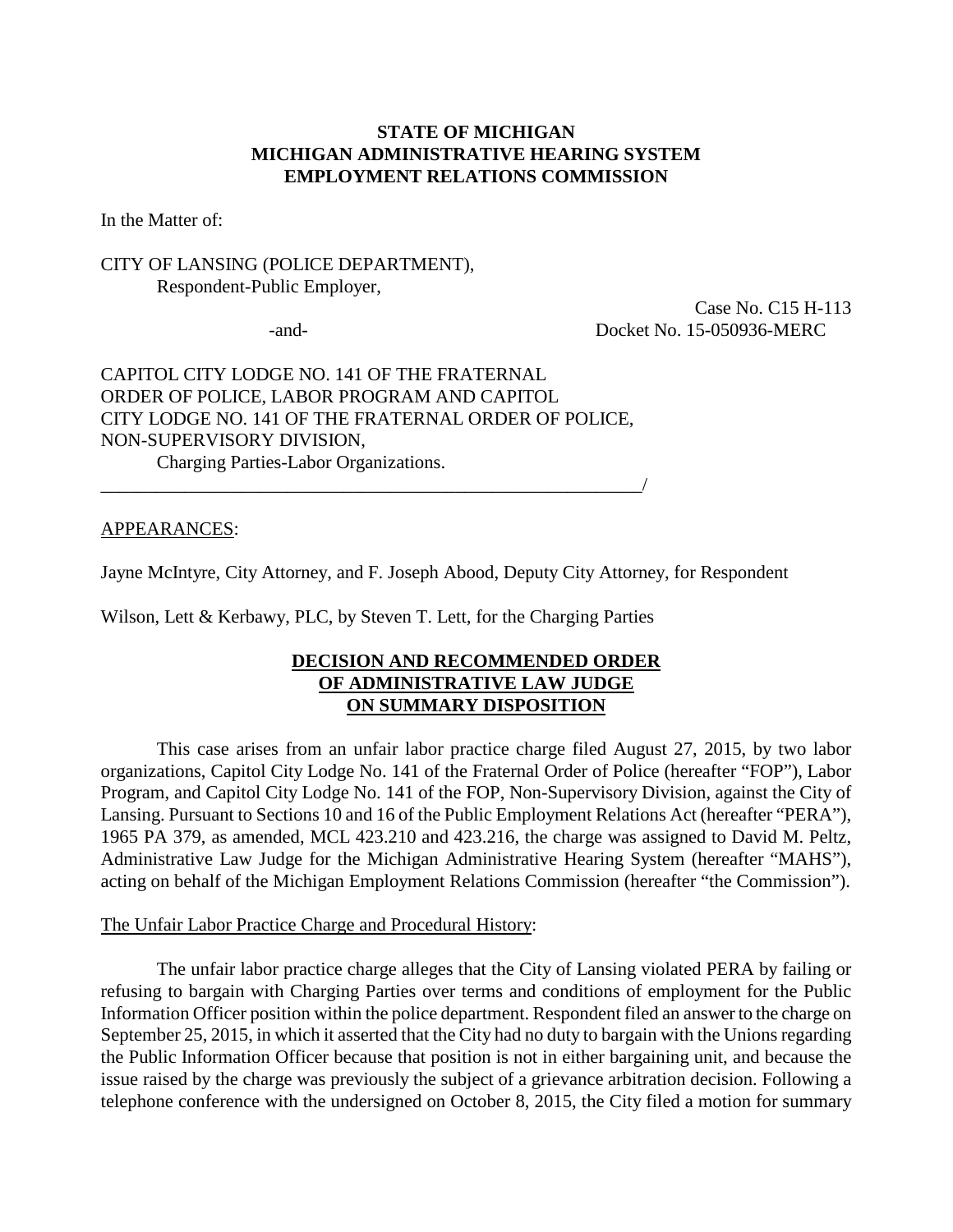# **STATE OF MICHIGAN MICHIGAN ADMINISTRATIVE HEARING SYSTEM EMPLOYMENT RELATIONS COMMISSION**

In the Matter of:

# CITY OF LANSING (POLICE DEPARTMENT), Respondent-Public Employer,

 Case No. C15 H-113 -and- Docket No. 15-050936-MERC

CAPITOL CITY LODGE NO. 141 OF THE FRATERNAL ORDER OF POLICE, LABOR PROGRAM AND CAPITOL CITY LODGE NO. 141 OF THE FRATERNAL ORDER OF POLICE, NON-SUPERVISORY DIVISION, Charging Parties-Labor Organizations.

\_\_\_\_\_\_\_\_\_\_\_\_\_\_\_\_\_\_\_\_\_\_\_\_\_\_\_\_\_\_\_\_\_\_\_\_\_\_\_\_\_\_\_\_\_\_\_\_\_\_\_\_\_\_\_\_\_\_/

APPEARANCES:

Jayne McIntyre, City Attorney, and F. Joseph Abood, Deputy City Attorney, for Respondent

Wilson, Lett & Kerbawy, PLC, by Steven T. Lett, for the Charging Parties

# **DECISION AND RECOMMENDED ORDER OF ADMINISTRATIVE LAW JUDGE ON SUMMARY DISPOSITION**

This case arises from an unfair labor practice charge filed August 27, 2015, by two labor organizations, Capitol City Lodge No. 141 of the Fraternal Order of Police (hereafter "FOP"), Labor Program, and Capitol City Lodge No. 141 of the FOP, Non-Supervisory Division, against the City of Lansing. Pursuant to Sections 10 and 16 of the Public Employment Relations Act (hereafter "PERA"), 1965 PA 379, as amended, MCL 423.210 and 423.216, the charge was assigned to David M. Peltz, Administrative Law Judge for the Michigan Administrative Hearing System (hereafter "MAHS"), acting on behalf of the Michigan Employment Relations Commission (hereafter "the Commission").

### The Unfair Labor Practice Charge and Procedural History:

The unfair labor practice charge alleges that the City of Lansing violated PERA by failing or refusing to bargain with Charging Parties over terms and conditions of employment for the Public Information Officer position within the police department. Respondent filed an answer to the charge on September 25, 2015, in which it asserted that the City had no duty to bargain with the Unions regarding the Public Information Officer because that position is not in either bargaining unit, and because the issue raised by the charge was previously the subject of a grievance arbitration decision. Following a telephone conference with the undersigned on October 8, 2015, the City filed a motion for summary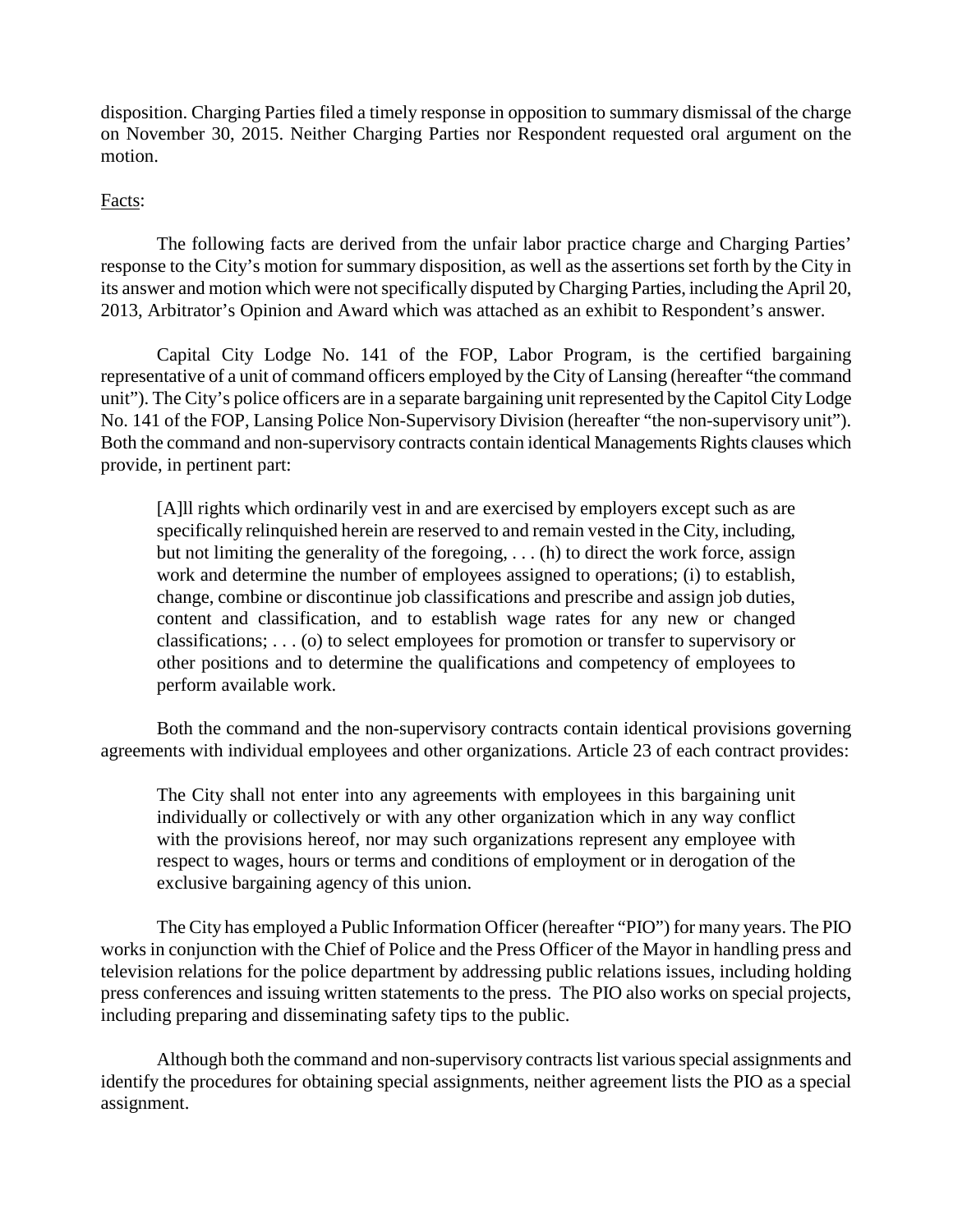disposition. Charging Parties filed a timely response in opposition to summary dismissal of the charge on November 30, 2015. Neither Charging Parties nor Respondent requested oral argument on the motion.

# Facts:

The following facts are derived from the unfair labor practice charge and Charging Parties' response to the City's motion for summary disposition, as well as the assertions set forth by the City in its answer and motion which were not specifically disputed by Charging Parties, including the April 20, 2013, Arbitrator's Opinion and Award which was attached as an exhibit to Respondent's answer.

Capital City Lodge No. 141 of the FOP, Labor Program, is the certified bargaining representative of a unit of command officers employed by the City of Lansing (hereafter "the command unit"). The City's police officers are in a separate bargaining unit represented by the Capitol City Lodge No. 141 of the FOP, Lansing Police Non-Supervisory Division (hereafter "the non-supervisory unit"). Both the command and non-supervisory contracts contain identical Managements Rights clauses which provide, in pertinent part:

[A]ll rights which ordinarily vest in and are exercised by employers except such as are specifically relinquished herein are reserved to and remain vested in the City, including, but not limiting the generality of the foregoing, . . . (h) to direct the work force, assign work and determine the number of employees assigned to operations; (i) to establish, change, combine or discontinue job classifications and prescribe and assign job duties, content and classification, and to establish wage rates for any new or changed classifications; . . . (o) to select employees for promotion or transfer to supervisory or other positions and to determine the qualifications and competency of employees to perform available work.

Both the command and the non-supervisory contracts contain identical provisions governing agreements with individual employees and other organizations. Article 23 of each contract provides:

The City shall not enter into any agreements with employees in this bargaining unit individually or collectively or with any other organization which in any way conflict with the provisions hereof, nor may such organizations represent any employee with respect to wages, hours or terms and conditions of employment or in derogation of the exclusive bargaining agency of this union.

The City has employed a Public Information Officer (hereafter "PIO") for many years. The PIO works in conjunction with the Chief of Police and the Press Officer of the Mayor in handling press and television relations for the police department by addressing public relations issues, including holding press conferences and issuing written statements to the press. The PIO also works on special projects, including preparing and disseminating safety tips to the public.

Although both the command and non-supervisory contracts list various special assignments and identify the procedures for obtaining special assignments, neither agreement lists the PIO as a special assignment.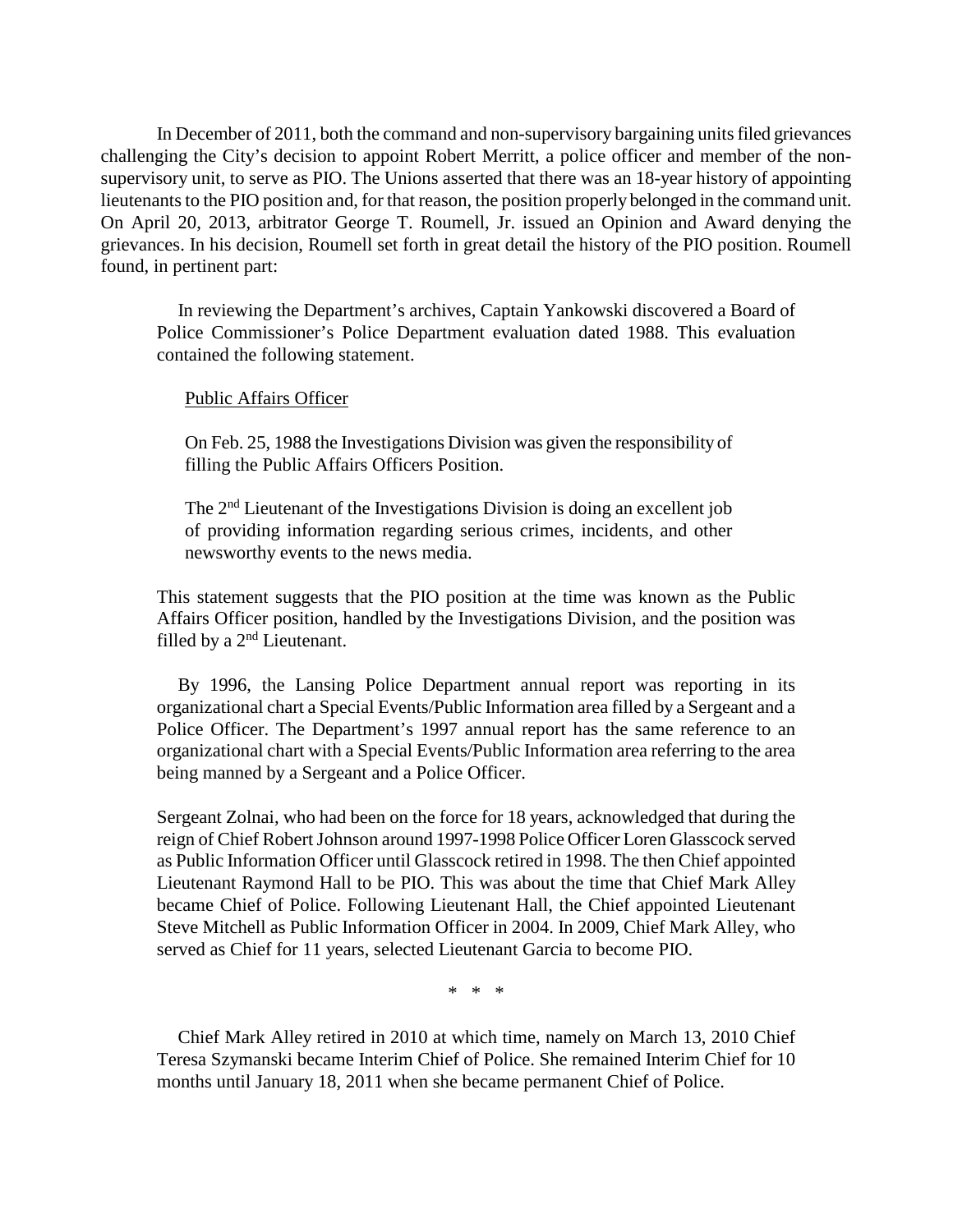In December of 2011, both the command and non-supervisory bargaining units filed grievances challenging the City's decision to appoint Robert Merritt, a police officer and member of the nonsupervisory unit, to serve as PIO. The Unions asserted that there was an 18-year history of appointing lieutenants to the PIO position and, for that reason, the position properly belonged in the command unit. On April 20, 2013, arbitrator George T. Roumell, Jr. issued an Opinion and Award denying the grievances. In his decision, Roumell set forth in great detail the history of the PIO position. Roumell found, in pertinent part:

In reviewing the Department's archives, Captain Yankowski discovered a Board of Police Commissioner's Police Department evaluation dated 1988. This evaluation contained the following statement.

## Public Affairs Officer

On Feb. 25, 1988 the Investigations Division was given the responsibility of filling the Public Affairs Officers Position.

The  $2<sup>nd</sup>$  Lieutenant of the Investigations Division is doing an excellent job of providing information regarding serious crimes, incidents, and other newsworthy events to the news media.

This statement suggests that the PIO position at the time was known as the Public Affairs Officer position, handled by the Investigations Division, and the position was filled by a 2<sup>nd</sup> Lieutenant.

By 1996, the Lansing Police Department annual report was reporting in its organizational chart a Special Events/Public Information area filled by a Sergeant and a Police Officer. The Department's 1997 annual report has the same reference to an organizational chart with a Special Events/Public Information area referring to the area being manned by a Sergeant and a Police Officer.

Sergeant Zolnai, who had been on the force for 18 years, acknowledged that during the reign of Chief Robert Johnson around 1997-1998 Police Officer Loren Glasscock served as Public Information Officer until Glasscock retired in 1998. The then Chief appointed Lieutenant Raymond Hall to be PIO. This was about the time that Chief Mark Alley became Chief of Police. Following Lieutenant Hall, the Chief appointed Lieutenant Steve Mitchell as Public Information Officer in 2004. In 2009, Chief Mark Alley, who served as Chief for 11 years, selected Lieutenant Garcia to become PIO.

\* \* \*

Chief Mark Alley retired in 2010 at which time, namely on March 13, 2010 Chief Teresa Szymanski became Interim Chief of Police. She remained Interim Chief for 10 months until January 18, 2011 when she became permanent Chief of Police.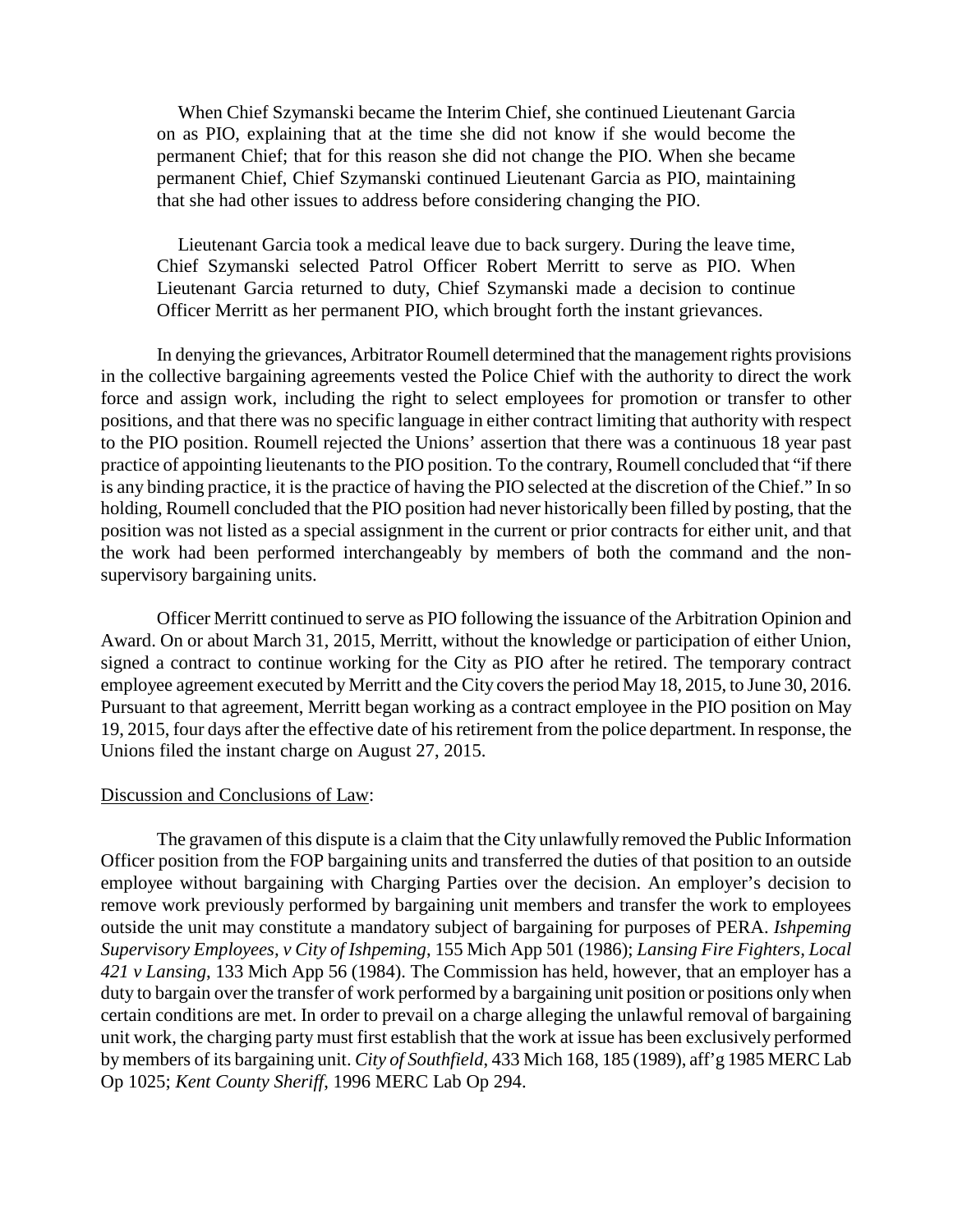When Chief Szymanski became the Interim Chief, she continued Lieutenant Garcia on as PIO, explaining that at the time she did not know if she would become the permanent Chief; that for this reason she did not change the PIO. When she became permanent Chief, Chief Szymanski continued Lieutenant Garcia as PIO, maintaining that she had other issues to address before considering changing the PIO.

Lieutenant Garcia took a medical leave due to back surgery. During the leave time, Chief Szymanski selected Patrol Officer Robert Merritt to serve as PIO. When Lieutenant Garcia returned to duty, Chief Szymanski made a decision to continue Officer Merritt as her permanent PIO, which brought forth the instant grievances.

In denying the grievances, Arbitrator Roumell determined that the management rights provisions in the collective bargaining agreements vested the Police Chief with the authority to direct the work force and assign work, including the right to select employees for promotion or transfer to other positions, and that there was no specific language in either contract limiting that authority with respect to the PIO position. Roumell rejected the Unions' assertion that there was a continuous 18 year past practice of appointing lieutenants to the PIO position. To the contrary, Roumell concluded that "if there is any binding practice, it is the practice of having the PIO selected at the discretion of the Chief." In so holding, Roumell concluded that the PIO position had never historically been filled by posting, that the position was not listed as a special assignment in the current or prior contracts for either unit, and that the work had been performed interchangeably by members of both the command and the nonsupervisory bargaining units.

Officer Merritt continued to serve as PIO following the issuance of the Arbitration Opinion and Award. On or about March 31, 2015, Merritt, without the knowledge or participation of either Union, signed a contract to continue working for the City as PIO after he retired. The temporary contract employee agreement executed by Merritt and the City covers the period May 18, 2015, to June 30, 2016. Pursuant to that agreement, Merritt began working as a contract employee in the PIO position on May 19, 2015, four days after the effective date of his retirement from the police department. In response, the Unions filed the instant charge on August 27, 2015.

# Discussion and Conclusions of Law:

The gravamen of this dispute is a claim that the City unlawfully removed the Public Information Officer position from the FOP bargaining units and transferred the duties of that position to an outside employee without bargaining with Charging Parties over the decision. An employer's decision to remove work previously performed by bargaining unit members and transfer the work to employees outside the unit may constitute a mandatory subject of bargaining for purposes of PERA. *Ishpeming Supervisory Employees, v City of Ishpeming*, 155 Mich App 501 (1986); *Lansing Fire Fighters, Local 421 v Lansing*, 133 Mich App 56 (1984). The Commission has held, however, that an employer has a duty to bargain over the transfer of work performed by a bargaining unit position or positions only when certain conditions are met. In order to prevail on a charge alleging the unlawful removal of bargaining unit work, the charging party must first establish that the work at issue has been exclusively performed by members of its bargaining unit. *City of Southfield*, 433 Mich 168, 185 (1989), aff'g 1985 MERC Lab Op 1025; *Kent County Sheriff*, 1996 MERC Lab Op 294.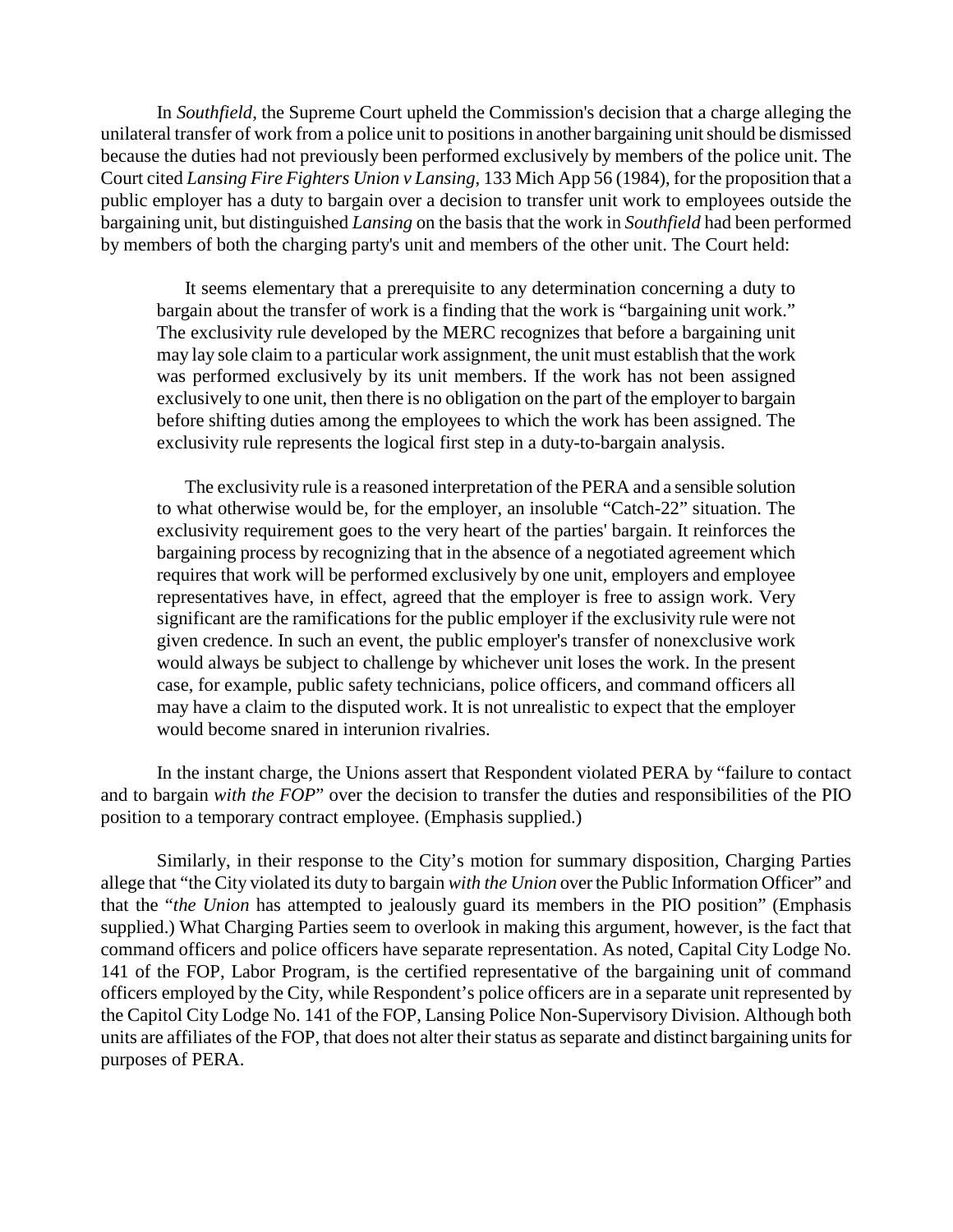In *Southfield*, the Supreme Court upheld the Commission's decision that a charge alleging the unilateral transfer of work from a police unit to positions in another bargaining unit should be dismissed because the duties had not previously been performed exclusively by members of the police unit. The Court cited *Lansing Fire Fighters Union v Lansing*, 133 Mich App 56 (1984), for the proposition that a public employer has a duty to bargain over a decision to transfer unit work to employees outside the bargaining unit, but distinguished *Lansing* on the basis that the work in *Southfield* had been performed by members of both the charging party's unit and members of the other unit. The Court held:

It seems elementary that a prerequisite to any determination concerning a duty to bargain about the transfer of work is a finding that the work is "bargaining unit work." The exclusivity rule developed by the MERC recognizes that before a bargaining unit may lay sole claim to a particular work assignment, the unit must establish that the work was performed exclusively by its unit members. If the work has not been assigned exclusively to one unit, then there is no obligation on the part of the employer to bargain before shifting duties among the employees to which the work has been assigned. The exclusivity rule represents the logical first step in a duty-to-bargain analysis.

The exclusivity rule is a reasoned interpretation of the PERA and a sensible solution to what otherwise would be, for the employer, an insoluble "Catch-22" situation. The exclusivity requirement goes to the very heart of the parties' bargain. It reinforces the bargaining process by recognizing that in the absence of a negotiated agreement which requires that work will be performed exclusively by one unit, employers and employee representatives have, in effect, agreed that the employer is free to assign work. Very significant are the ramifications for the public employer if the exclusivity rule were not given credence. In such an event, the public employer's transfer of nonexclusive work would always be subject to challenge by whichever unit loses the work. In the present case, for example, public safety technicians, police officers, and command officers all may have a claim to the disputed work. It is not unrealistic to expect that the employer would become snared in interunion rivalries.

In the instant charge, the Unions assert that Respondent violated PERA by "failure to contact and to bargain *with the FOP*" over the decision to transfer the duties and responsibilities of the PIO position to a temporary contract employee. (Emphasis supplied.)

Similarly, in their response to the City's motion for summary disposition, Charging Parties allege that "the City violated its duty to bargain *with the Union* over the Public Information Officer" and that the "*the Union* has attempted to jealously guard its members in the PIO position" (Emphasis supplied.) What Charging Parties seem to overlook in making this argument, however, is the fact that command officers and police officers have separate representation. As noted, Capital City Lodge No. 141 of the FOP, Labor Program, is the certified representative of the bargaining unit of command officers employed by the City, while Respondent's police officers are in a separate unit represented by the Capitol City Lodge No. 141 of the FOP, Lansing Police Non-Supervisory Division. Although both units are affiliates of the FOP, that does not alter their status as separate and distinct bargaining units for purposes of PERA.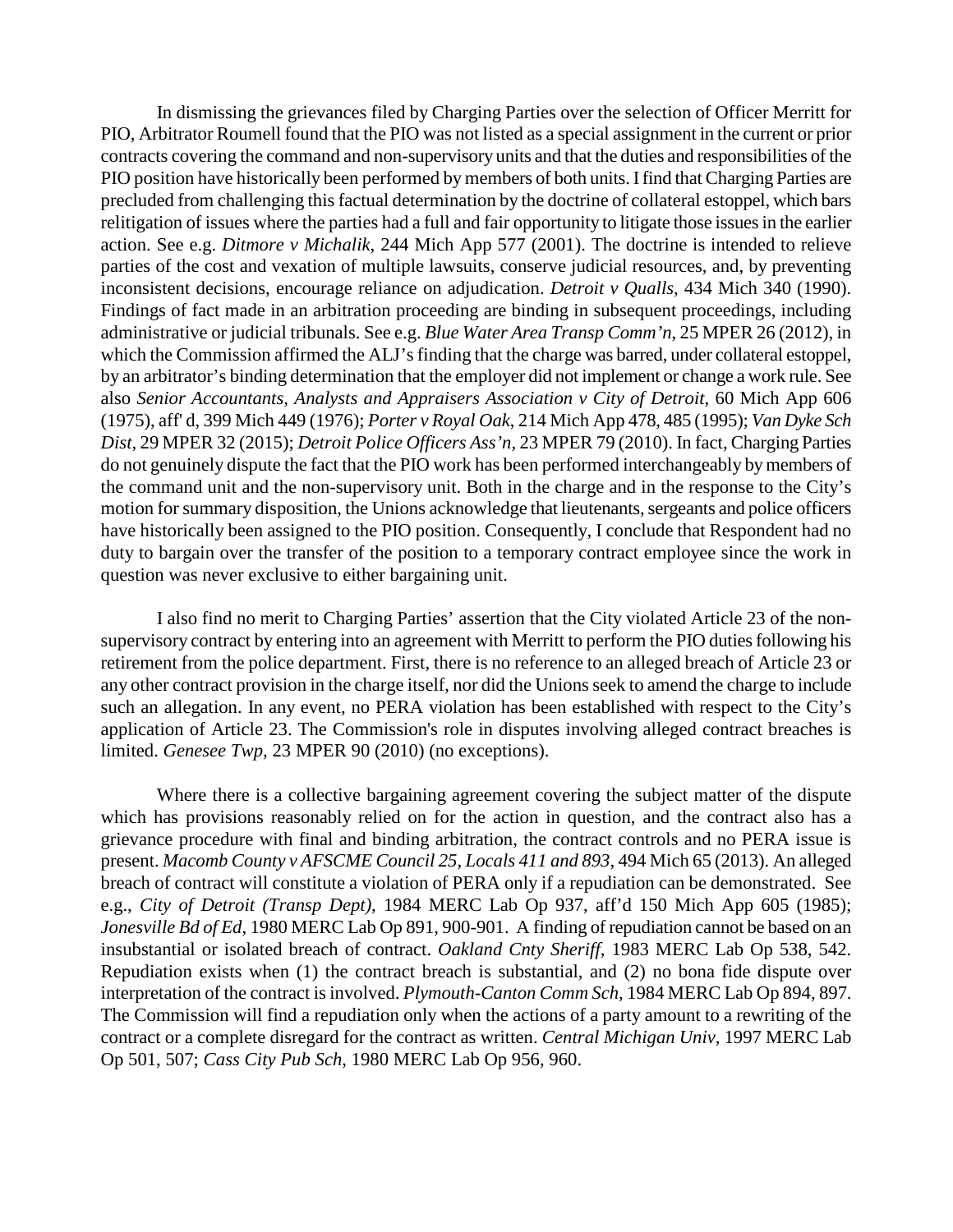In dismissing the grievances filed by Charging Parties over the selection of Officer Merritt for PIO, Arbitrator Roumell found that the PIO was not listed as a special assignment in the current or prior contracts covering the command and non-supervisory units and that the duties and responsibilities of the PIO position have historically been performed by members of both units. I find that Charging Parties are precluded from challenging this factual determination by the doctrine of collateral estoppel, which bars relitigation of issues where the parties had a full and fair opportunity to litigate those issues in the earlier action. See e.g. *Ditmore v Michalik*, 244 Mich App 577 (2001). The doctrine is intended to relieve parties of the cost and vexation of multiple lawsuits, conserve judicial resources, and, by preventing inconsistent decisions, encourage reliance on adjudication. *Detroit v Qualls*, 434 Mich 340 (1990). Findings of fact made in an arbitration proceeding are binding in subsequent proceedings, including administrative or judicial tribunals. See e.g. *Blue Water Area Transp Comm'n*, 25 MPER 26 (2012), in which the Commission affirmed the ALJ's finding that the charge was barred, under collateral estoppel, by an arbitrator's binding determination that the employer did not implement or change a work rule. See also *Senior Accountants, Analysts and Appraisers Association v City of Detroit*, 60 Mich App 606 (1975), aff' d, 399 Mich 449 (1976); *Porter v Royal Oak*, 214 Mich App 478, 485 (1995); *Van Dyke Sch Dist*, 29 MPER 32 (2015); *Detroit Police Officers Ass'n*, 23 MPER 79 (2010). In fact, Charging Parties do not genuinely dispute the fact that the PIO work has been performed interchangeably by members of the command unit and the non-supervisory unit. Both in the charge and in the response to the City's motion for summary disposition, the Unions acknowledge that lieutenants, sergeants and police officers have historically been assigned to the PIO position. Consequently, I conclude that Respondent had no duty to bargain over the transfer of the position to a temporary contract employee since the work in question was never exclusive to either bargaining unit.

I also find no merit to Charging Parties' assertion that the City violated Article 23 of the nonsupervisory contract by entering into an agreement with Merritt to perform the PIO duties following his retirement from the police department. First, there is no reference to an alleged breach of Article 23 or any other contract provision in the charge itself, nor did the Unions seek to amend the charge to include such an allegation. In any event, no PERA violation has been established with respect to the City's application of Article 23. The Commission's role in disputes involving alleged contract breaches is limited. *Genesee Twp*, 23 MPER 90 (2010) (no exceptions).

Where there is a collective bargaining agreement covering the subject matter of the dispute which has provisions reasonably relied on for the action in question, and the contract also has a grievance procedure with final and binding arbitration, the contract controls and no PERA issue is present. *Macomb County v AFSCME Council 25, Locals 411 and 893*, 494 Mich 65 (2013). An alleged breach of contract will constitute a violation of PERA only if a repudiation can be demonstrated. See e.g., *City of Detroit (Transp Dept)*, 1984 MERC Lab Op 937, aff'd 150 Mich App 605 (1985); *Jonesville Bd of Ed*, 1980 MERC Lab Op 891, 900-901. A finding of repudiation cannot be based on an insubstantial or isolated breach of contract. *Oakland Cnty Sheriff*, 1983 MERC Lab Op 538, 542. Repudiation exists when (1) the contract breach is substantial, and (2) no bona fide dispute over interpretation of the contract is involved. *Plymouth-Canton Comm Sch*, 1984 MERC Lab Op 894, 897. The Commission will find a repudiation only when the actions of a party amount to a rewriting of the contract or a complete disregard for the contract as written. *Central Michigan Univ*, 1997 MERC Lab Op 501, 507; *Cass City Pub Sch*, 1980 MERC Lab Op 956, 960.